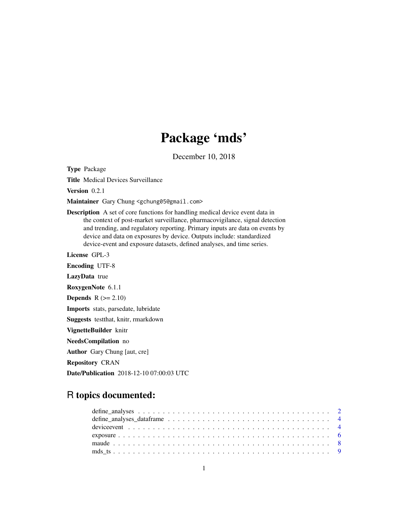## Package 'mds'

December 10, 2018

Type Package

Title Medical Devices Surveillance

Version 0.2.1

Maintainer Gary Chung <gchung05@gmail.com>

Description A set of core functions for handling medical device event data in the context of post-market surveillance, pharmacovigilance, signal detection and trending, and regulatory reporting. Primary inputs are data on events by device and data on exposures by device. Outputs include: standardized device-event and exposure datasets, defined analyses, and time series.

License GPL-3

Encoding UTF-8 LazyData true RoxygenNote 6.1.1 **Depends**  $R$  ( $>= 2.10$ ) Imports stats, parsedate, lubridate Suggests testthat, knitr, rmarkdown VignetteBuilder knitr NeedsCompilation no Author Gary Chung [aut, cre] Repository CRAN Date/Publication 2018-12-10 07:00:03 UTC

## R topics documented: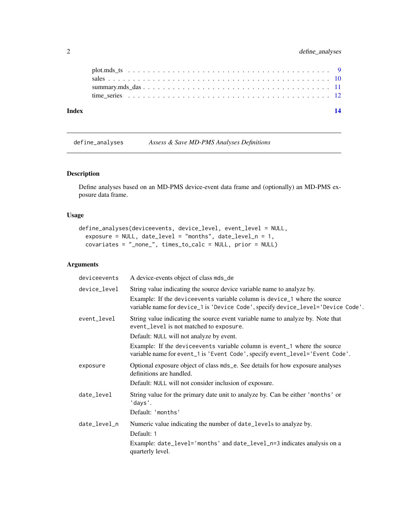<span id="page-1-0"></span>

| Index |  |
|-------|--|
|       |  |
|       |  |
|       |  |
|       |  |

define\_analyses *Assess & Save MD-PMS Analyses Definitions*

## Description

Define analyses based on an MD-PMS device-event data frame and (optionally) an MD-PMS exposure data frame.

## Usage

```
define_analyses(deviceevents, device_level, event_level = NULL,
  exposure = NULL, date_level = "months", date_level_n = 1,
  covariates = "_none_", times_to_calc = NULL, prior = NULL)
```
## Arguments

| deviceevents | A device-events object of class mds_de                                                                                                                        |
|--------------|---------------------------------------------------------------------------------------------------------------------------------------------------------------|
| device_level | String value indicating the source device variable name to analyze by.                                                                                        |
|              | Example: If the deviceevents variable column is device_1 where the source<br>variable name for device_1 is 'Device Code', specify device_level='Device Code'. |
| event_level  | String value indicating the source event variable name to analyze by. Note that<br>event_level is not matched to exposure.                                    |
|              | Default: NULL will not analyze by event.                                                                                                                      |
|              | Example: If the device events variable column is event 1 where the source<br>variable name for event_1 is 'Event Code', specify event_level='Event Code'.     |
| exposure     | Optional exposure object of class mds_e. See details for how exposure analyses<br>definitions are handled.                                                    |
|              | Default: NULL will not consider inclusion of exposure.                                                                                                        |
| date_level   | String value for the primary date unit to analyze by. Can be either 'months' or<br>'days'.                                                                    |
|              | Default: 'months'                                                                                                                                             |
| date_level_n | Numeric value indicating the number of date_levels to analyze by.                                                                                             |
|              | Default: 1                                                                                                                                                    |
|              | Example: date_level='months' and date_level_n=3 indicates analysis on a<br>quarterly level.                                                                   |
|              |                                                                                                                                                               |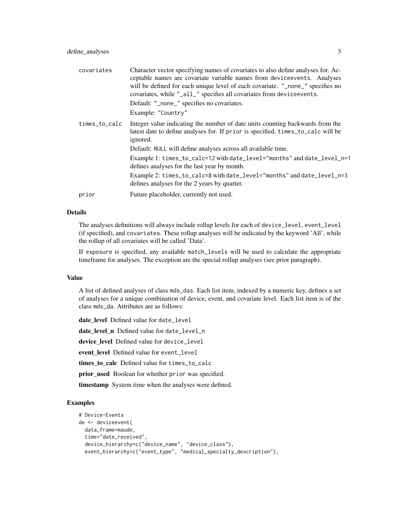| covariates    | Character vector specifying names of covariates to also define analyses for. Ac-<br>ceptable names are covariate variable names from deviceevents. Analyses<br>will be defined for each unique level of each covariate. "_none_" specifies no<br>covariates, while "_all_" specifies all covariates from deviceevents.<br>Default: "_none_" specifies no covariates. |
|---------------|----------------------------------------------------------------------------------------------------------------------------------------------------------------------------------------------------------------------------------------------------------------------------------------------------------------------------------------------------------------------|
|               | Example: "Country"                                                                                                                                                                                                                                                                                                                                                   |
| times_to_calc | Integer value indicating the number of date units counting backwards from the<br>latest date to define analyses for. If prior is specified, times_to_calc will be<br>ignored.                                                                                                                                                                                        |
|               | Default: NULL will define analyses across all available time.                                                                                                                                                                                                                                                                                                        |
|               | Example 1: times_to_calc=12 with date_level="months" and date_level_n=1<br>defines analyses for the last year by month.                                                                                                                                                                                                                                              |
|               | Example 2: times_to_calc=8 with date_level="months" and date_level_n=3<br>defines analyses for the 2 years by quarter.                                                                                                                                                                                                                                               |
| prior         | Future placeholder, currently not used.                                                                                                                                                                                                                                                                                                                              |
|               |                                                                                                                                                                                                                                                                                                                                                                      |

## Details

The analyses definitions will always include rollup levels for each of device\_level, event\_level (if specified), and covariates. These rollup analyses will be indicated by the keyword 'All', while the rollup of all covariates will be called 'Data'.

If exposure is specified, any available match\_levels will be used to calculate the appropriate timeframe for analyses. The exception are the special rollup analyses (see prior paragraph).

#### Value

A list of defined analyses of class mds\_das. Each list item, indexed by a numeric key, defines a set of analyses for a unique combination of device, event, and covariate level. Each list item is of the class mds\_da. Attributes are as follows:

date level Defined value for date\_level date level n Defined value for date\_level\_n device\_level Defined value for device\_level event\_level Defined value for event\_level times\_to\_calc Defined value for times\_to\_calc prior\_used Boolean for whether prior was specified. timestamp System time when the analyses were defined.

#### Examples

```
# Device-Events
de <- deviceevent(
 data_frame=maude,
 time="date_received",
 device_hierarchy=c("device_name", "device_class"),
 event_hierarchy=c("event_type", "medical_specialty_description"),
```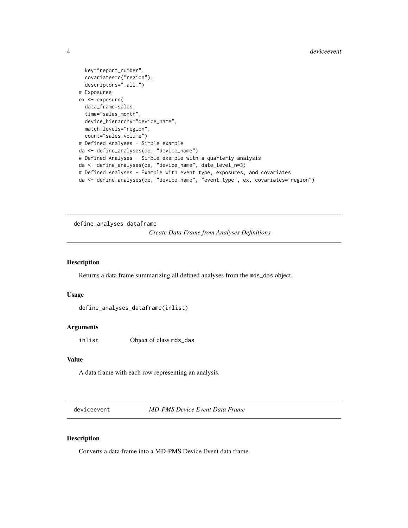```
key="report_number",
 covariates=c("region"),
 descriptors="_all_")
# Exposures
ex <- exposure(
 data_frame=sales,
 time="sales_month",
 device_hierarchy="device_name",
 match_levels="region",
 count="sales_volume")
# Defined Analyses - Simple example
da <- define_analyses(de, "device_name")
# Defined Analyses - Simple example with a quarterly analysis
da <- define_analyses(de, "device_name", date_level_n=3)
# Defined Analyses - Example with event type, exposures, and covariates
da <- define_analyses(de, "device_name", "event_type", ex, covariates="region")
```
define\_analyses\_dataframe

*Create Data Frame from Analyses Definitions*

#### Description

Returns a data frame summarizing all defined analyses from the mds\_das object.

#### Usage

```
define_analyses_dataframe(inlist)
```
#### Arguments

inlist Object of class mds\_das

### Value

A data frame with each row representing an analysis.

deviceevent *MD-PMS Device Event Data Frame*

#### Description

Converts a data frame into a MD-PMS Device Event data frame.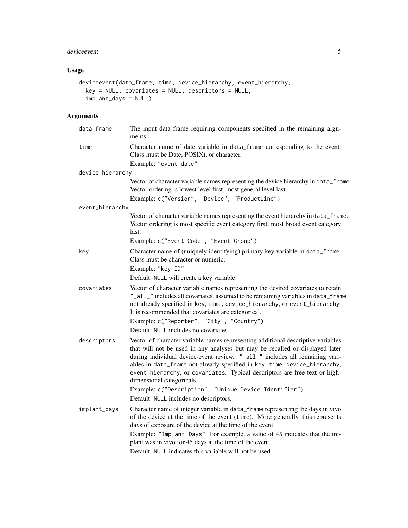## deviceevent 5

## Usage

```
deviceevent(data_frame, time, device_hierarchy, event_hierarchy,
 key = NULL, covariates = NULL, descriptors = NULL,
 implant_days = NULL)
```
## Arguments

| data_frame       | The input data frame requiring components specified in the remaining argu-<br>ments.                                                                                                                                                                                                                                                                                                                                                    |
|------------------|-----------------------------------------------------------------------------------------------------------------------------------------------------------------------------------------------------------------------------------------------------------------------------------------------------------------------------------------------------------------------------------------------------------------------------------------|
| time             | Character name of date variable in data_frame corresponding to the event.<br>Class must be Date, POSIXt, or character.                                                                                                                                                                                                                                                                                                                  |
|                  | Example: "event_date"                                                                                                                                                                                                                                                                                                                                                                                                                   |
| device_hierarchy |                                                                                                                                                                                                                                                                                                                                                                                                                                         |
|                  | Vector of character variable names representing the device hierarchy in data_frame.<br>Vector ordering is lowest level first, most general level last.                                                                                                                                                                                                                                                                                  |
|                  | Example: c("Version", "Device", "ProductLine")                                                                                                                                                                                                                                                                                                                                                                                          |
| event_hierarchy  |                                                                                                                                                                                                                                                                                                                                                                                                                                         |
|                  | Vector of character variable names representing the event hierarchy in data_frame.<br>Vector ordering is most specific event category first, most broad event category<br>last.                                                                                                                                                                                                                                                         |
|                  | Example: c("Event Code", "Event Group")                                                                                                                                                                                                                                                                                                                                                                                                 |
| key              | Character name of (uniquely identifying) primary key variable in data_frame.<br>Class must be character or numeric.                                                                                                                                                                                                                                                                                                                     |
|                  | Example: "key_ID"                                                                                                                                                                                                                                                                                                                                                                                                                       |
|                  | Default: NULL will create a key variable.                                                                                                                                                                                                                                                                                                                                                                                               |
| covariates       | Vector of character variable names representing the desired covariates to retain<br>"_all_" includes all covariates, assumed to be remaining variables in data_frame<br>not already specified in key, time, device_hierarchy, or event_hierarchy.<br>It is recommended that covariates are categorical.<br>Example: c("Reporter", "City", "Country")                                                                                    |
|                  | Default: NULL includes no covariates.                                                                                                                                                                                                                                                                                                                                                                                                   |
| descriptors      | Vector of character variable names representing additional descriptive variables<br>that will not be used in any analyses but may be recalled or displayed later<br>during individual device-event review. "_all_" includes all remaining vari-<br>ables in data_frame not already specified in key, time, device_hierarchy,<br>event_hierarchy, or covariates. Typical descriptors are free text or high-<br>dimensional categoricals. |
|                  | Example: c("Description", "Unique Device Identifier")<br>Default: NULL includes no descriptors.                                                                                                                                                                                                                                                                                                                                         |
| implant_days     | Character name of integer variable in data_frame representing the days in vivo<br>of the device at the time of the event (time). More generally, this represents<br>days of exposure of the device at the time of the event.<br>Example: "Implant Days". For example, a value of 45 indicates that the im-                                                                                                                              |
|                  | plant was in vivo for 45 days at the time of the event.<br>Default: NULL indicates this variable will not be used.                                                                                                                                                                                                                                                                                                                      |
|                  |                                                                                                                                                                                                                                                                                                                                                                                                                                         |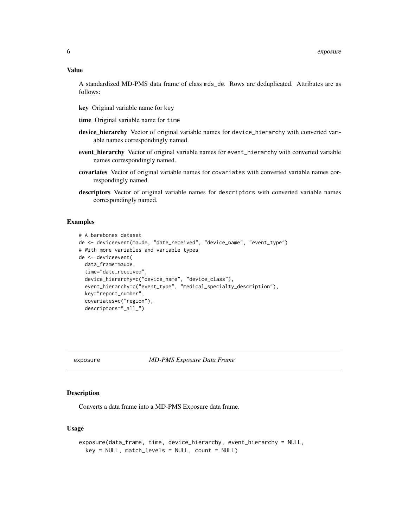<span id="page-5-0"></span>A standardized MD-PMS data frame of class mds\_de. Rows are deduplicated. Attributes are as follows:

- key Original variable name for key
- time Original variable name for time
- device\_hierarchy Vector of original variable names for device\_hierarchy with converted variable names correspondingly named.
- event\_hierarchy Vector of original variable names for event\_hierarchy with converted variable names correspondingly named.
- covariates Vector of original variable names for covariates with converted variable names correspondingly named.
- descriptors Vector of original variable names for descriptors with converted variable names correspondingly named.

#### Examples

```
# A barebones dataset
de <- deviceevent(maude, "date_received", "device_name", "event_type")
# With more variables and variable types
de <- deviceevent(
 data_frame=maude,
 time="date_received",
 device_hierarchy=c("device_name", "device_class"),
 event_hierarchy=c("event_type", "medical_specialty_description"),
 key="report_number",
 covariates=c("region"),
 descriptors="_all_")
```
#### exposure *MD-PMS Exposure Data Frame*

## **Description**

Converts a data frame into a MD-PMS Exposure data frame.

#### Usage

```
exposure(data_frame, time, device_hierarchy, event_hierarchy = NULL,
 key = NULL, match_levels = NULL, count = NULL)
```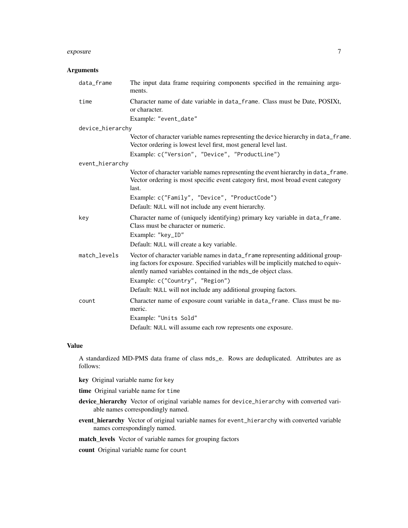#### exposure 7

#### Arguments

| data_frame       | The input data frame requiring components specified in the remaining argu-<br>ments.                                                                                                                                                   |
|------------------|----------------------------------------------------------------------------------------------------------------------------------------------------------------------------------------------------------------------------------------|
| time             | Character name of date variable in data_frame. Class must be Date, POSIXt,<br>or character.                                                                                                                                            |
|                  | Example: "event_date"                                                                                                                                                                                                                  |
| device_hierarchy |                                                                                                                                                                                                                                        |
|                  | Vector of character variable names representing the device hierarchy in data_frame.<br>Vector ordering is lowest level first, most general level last.                                                                                 |
|                  | Example: c("Version", "Device", "ProductLine")                                                                                                                                                                                         |
| event_hierarchy  |                                                                                                                                                                                                                                        |
|                  | Vector of character variable names representing the event hierarchy in data_frame.<br>Vector ordering is most specific event category first, most broad event category<br>last.                                                        |
|                  | Example: c("Family", "Device", "ProductCode")                                                                                                                                                                                          |
|                  | Default: NULL will not include any event hierarchy.                                                                                                                                                                                    |
| key              | Character name of (uniquely identifying) primary key variable in data_frame.<br>Class must be character or numeric.<br>Example: "key_ID"                                                                                               |
|                  | Default: NULL will create a key variable.                                                                                                                                                                                              |
| match_levels     | Vector of character variable names in data_frame representing additional group-<br>ing factors for exposure. Specified variables will be implicitly matched to equiv-<br>alently named variables contained in the mds_de object class. |
|                  | Example: c("Country", "Region")                                                                                                                                                                                                        |
|                  | Default: NULL will not include any additional grouping factors.                                                                                                                                                                        |
| count            | Character name of exposure count variable in data_frame. Class must be nu-<br>meric.                                                                                                                                                   |
|                  | Example: "Units Sold"                                                                                                                                                                                                                  |
|                  | Default: NULL will assume each row represents one exposure.                                                                                                                                                                            |

## Value

A standardized MD-PMS data frame of class mds\_e. Rows are deduplicated. Attributes are as follows:

- key Original variable name for key
- time Original variable name for time
- device\_hierarchy Vector of original variable names for device\_hierarchy with converted variable names correspondingly named.
- event\_hierarchy Vector of original variable names for event\_hierarchy with converted variable names correspondingly named.
- match\_levels Vector of variable names for grouping factors

count Original variable name for count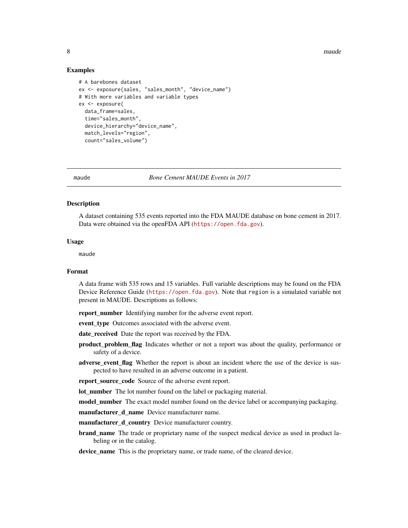<span id="page-7-0"></span>8 maude not be a set of the set of the set of the set of the set of the set of the set of the set of the set of the set of the set of the set of the set of the set of the set of the set of the set of the set of the set of

#### Examples

```
# A barebones dataset
ex <- exposure(sales, "sales_month", "device_name")
# With more variables and variable types
ex <- exposure(
  data_frame=sales,
  time="sales_month",
  device_hierarchy="device_name",
  match_levels="region",
  count="sales_volume")
```
maude *Bone Cement MAUDE Events in 2017*

#### Description

A dataset containing 535 events reported into the FDA MAUDE database on bone cement in 2017. Data were obtained via the openFDA API (<https://open.fda.gov>).

#### Usage

maude

## Format

A data frame with 535 rows and 15 variables. Full variable descriptions may be found on the FDA Device Reference Guide (<https://open.fda.gov>). Note that region is a simulated variable not present in MAUDE. Descriptions as follows:

report\_number Identifying number for the adverse event report.

event type Outcomes associated with the adverse event.

date\_received Date the report was received by the FDA.

- product\_problem\_flag Indicates whether or not a report was about the quality, performance or safety of a device.
- adverse\_event\_flag Whether the report is about an incident where the use of the device is suspected to have resulted in an adverse outcome in a patient.

report\_source\_code Source of the adverse event report.

lot\_number The lot number found on the label or packaging material.

model\_number The exact model number found on the device label or accompanying packaging.

manufacturer\_d\_name Device manufacturer name.

manufacturer\_d\_country Device manufacturer country.

**brand\_name** The trade or proprietary name of the suspect medical device as used in product labeling or in the catalog.

device\_name This is the proprietary name, or trade name, of the cleared device.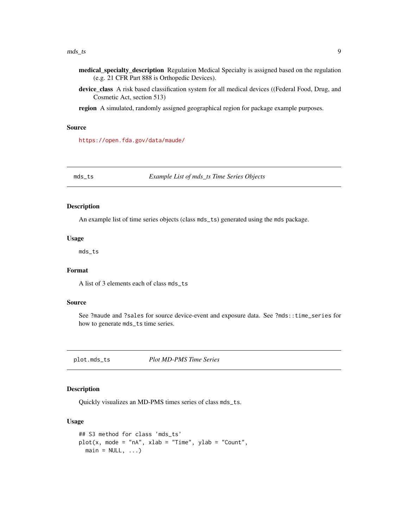#### <span id="page-8-0"></span> $\text{mds}\_ts$  9

- medical\_specialty\_description Regulation Medical Specialty is assigned based on the regulation (e.g. 21 CFR Part 888 is Orthopedic Devices).
- device\_class A risk based classification system for all medical devices ((Federal Food, Drug, and Cosmetic Act, section 513)
- region A simulated, randomly assigned geographical region for package example purposes.

#### Source

<https://open.fda.gov/data/maude/>

mds\_ts *Example List of mds\_ts Time Series Objects*

#### Description

An example list of time series objects (class mds\_ts) generated using the mds package.

#### Usage

mds\_ts

#### Format

A list of 3 elements each of class mds\_ts

#### Source

See ?maude and ?sales for source device-event and exposure data. See ?mds::time\_series for how to generate mds\_ts time series.

plot.mds\_ts *Plot MD-PMS Time Series*

#### Description

Quickly visualizes an MD-PMS times series of class mds\_ts.

## Usage

```
## S3 method for class 'mds_ts'
plot(x, mode = "nA", xlab = "Time", ylab = "Count",main = NULL, ...
```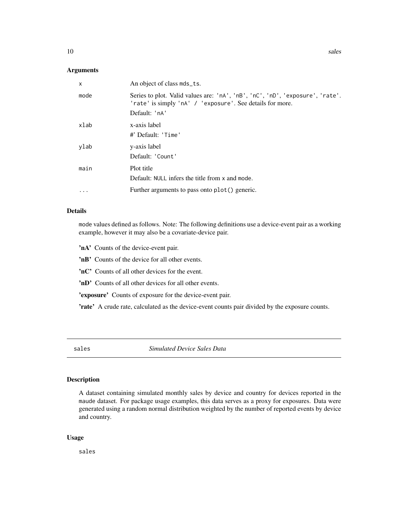#### <span id="page-9-0"></span>Arguments

| X         | An object of class mds_ts.                                                                                                                 |
|-----------|--------------------------------------------------------------------------------------------------------------------------------------------|
| mode      | Series to plot. Valid values are: 'nA', 'nB', 'nC', 'nD', 'exposure', 'rate'.<br>'rate' is simply 'nA' / 'exposure'. See details for more. |
|           | Default: 'nA'                                                                                                                              |
| xlab      | x-axis label<br>#' Default: 'Time'                                                                                                         |
| ylab      | y-axis label<br>Default: 'Count'                                                                                                           |
| main      | Plot title<br>Default: NULL infers the title from x and mode.                                                                              |
| $\ddotsc$ | Further arguments to pass onto plot() generic.                                                                                             |
|           |                                                                                                                                            |

#### Details

mode values defined as follows. Note: The following definitions use a device-event pair as a working example, however it may also be a covariate-device pair.

'nA' Counts of the device-event pair.

'nB' Counts of the device for all other events.

'nC' Counts of all other devices for the event.

'nD' Counts of all other devices for all other events.

'exposure' Counts of exposure for the device-event pair.

'rate' A crude rate, calculated as the device-event counts pair divided by the exposure counts.

sales *Simulated Device Sales Data*

#### Description

A dataset containing simulated monthly sales by device and country for devices reported in the maude dataset. For package usage examples, this data serves as a proxy for exposures. Data were generated using a random normal distribution weighted by the number of reported events by device and country.

#### Usage

sales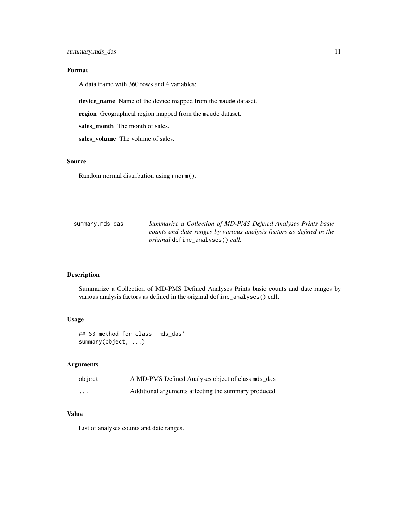## <span id="page-10-0"></span>Format

A data frame with 360 rows and 4 variables:

device\_name Name of the device mapped from the maude dataset.

region Geographical region mapped from the maude dataset.

sales\_month The month of sales.

sales\_volume The volume of sales.

#### Source

Random normal distribution using rnorm().

| summary.mds_das | Summarize a Collection of MD-PMS Defined Analyses Prints basic       |
|-----------------|----------------------------------------------------------------------|
|                 | counts and date ranges by various analysis factors as defined in the |
|                 | <i>original</i> define_analyses() <i>call.</i>                       |

## Description

Summarize a Collection of MD-PMS Defined Analyses Prints basic counts and date ranges by various analysis factors as defined in the original define\_analyses() call.

## Usage

```
## S3 method for class 'mds_das'
summary(object, ...)
```
## Arguments

| object   | A MD-PMS Defined Analyses object of class mds_das   |
|----------|-----------------------------------------------------|
| $\cdots$ | Additional arguments affecting the summary produced |

#### Value

List of analyses counts and date ranges.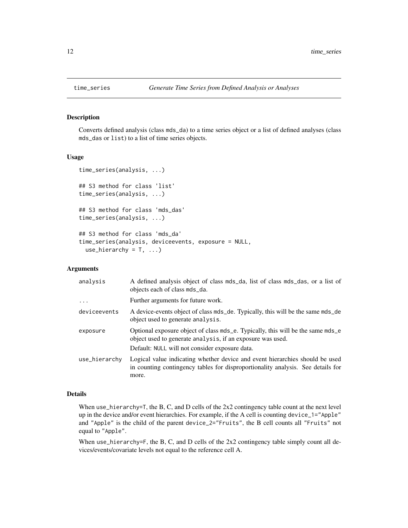<span id="page-11-0"></span>

## Description

Converts defined analysis (class mds\_da) to a time series object or a list of defined analyses (class mds\_das or list) to a list of time series objects.

#### Usage

```
time_series(analysis, ...)
## S3 method for class 'list'
time_series(analysis, ...)
## S3 method for class 'mds_das'
time_series(analysis, ...)
## S3 method for class 'mds_da'
time_series(analysis, deviceevents, exposure = NULL,
  use_hierarchy = T, ...)
```
#### Arguments

| analysis      | A defined analysis object of class mds_da, list of class mds_das, or a list of<br>objects each of class mds_da.                                                                                 |
|---------------|-------------------------------------------------------------------------------------------------------------------------------------------------------------------------------------------------|
| $\cdot$       | Further arguments for future work.                                                                                                                                                              |
| deviceevents  | A device-events object of class mds_de. Typically, this will be the same mds_de<br>object used to generate analysis.                                                                            |
| exposure      | Optional exposure object of class mds e. Typically, this will be the same mds e<br>object used to generate analysis, if an exposure was used.<br>Default: NULL will not consider exposure data. |
|               |                                                                                                                                                                                                 |
| use_hierarchy | Logical value indicating whether device and event hierarchies should be used<br>in counting contingency tables for disproportionality analysis. See details for<br>more.                        |

#### Details

When use\_hierarchy=T, the B, C, and D cells of the 2x2 contingency table count at the next level up in the device and/or event hierarchies. For example, if the A cell is counting device\_1="Apple" and "Apple" is the child of the parent device\_2="Fruits", the B cell counts all "Fruits" not equal to "Apple".

When use\_hierarchy=F, the B, C, and D cells of the  $2x2$  contingency table simply count all devices/events/covariate levels not equal to the reference cell A.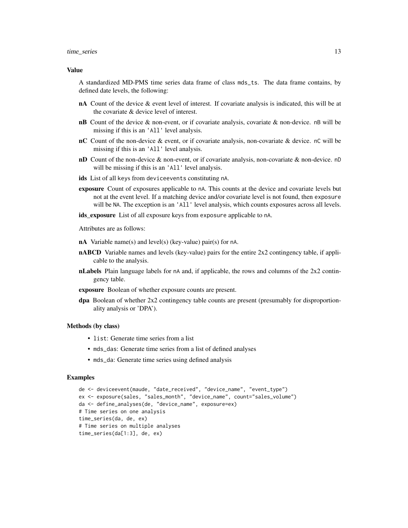#### time\_series 13

#### Value

A standardized MD-PMS time series data frame of class mds\_ts. The data frame contains, by defined date levels, the following:

- nA Count of the device & event level of interest. If covariate analysis is indicated, this will be at the covariate & device level of interest.
- **nB** Count of the device  $\&$  non-event, or if covariate analysis, covariate  $\&$  non-device. nB will be missing if this is an 'All' level analysis.
- **nC** Count of the non-device & event, or if covariate analysis, non-covariate & device. nC will be missing if this is an 'All' level analysis.
- nD Count of the non-device & non-event, or if covariate analysis, non-covariate & non-device. nD will be missing if this is an 'All' level analysis.
- ids List of all keys from deviceevents constituting nA.
- exposure Count of exposures applicable to nA. This counts at the device and covariate levels but not at the event level. If a matching device and/or covariate level is not found, then exposure will be NA. The exception is an 'All' level analysis, which counts exposures across all levels.
- ids\_exposure List of all exposure keys from exposure applicable to nA.

Attributes are as follows:

- nA Variable name(s) and level(s) (key-value) pair(s) for nA.
- **nABCD** Variable names and levels (key-value) pairs for the entire  $2x2$  contingency table, if applicable to the analysis.
- nLabels Plain language labels for nA and, if applicable, the rows and columns of the 2x2 contingency table.
- exposure Boolean of whether exposure counts are present.
- dpa Boolean of whether 2x2 contingency table counts are present (presumably for disproportionality analysis or 'DPA').

#### Methods (by class)

- list: Generate time series from a list
- mds\_das: Generate time series from a list of defined analyses
- mds\_da: Generate time series using defined analysis

#### Examples

```
de <- deviceevent(maude, "date_received", "device_name", "event_type")
ex <- exposure(sales, "sales_month", "device_name", count="sales_volume")
da <- define_analyses(de, "device_name", exposure=ex)
# Time series on one analysis
time_series(da, de, ex)
# Time series on multiple analyses
time_series(da[1:3], de, ex)
```